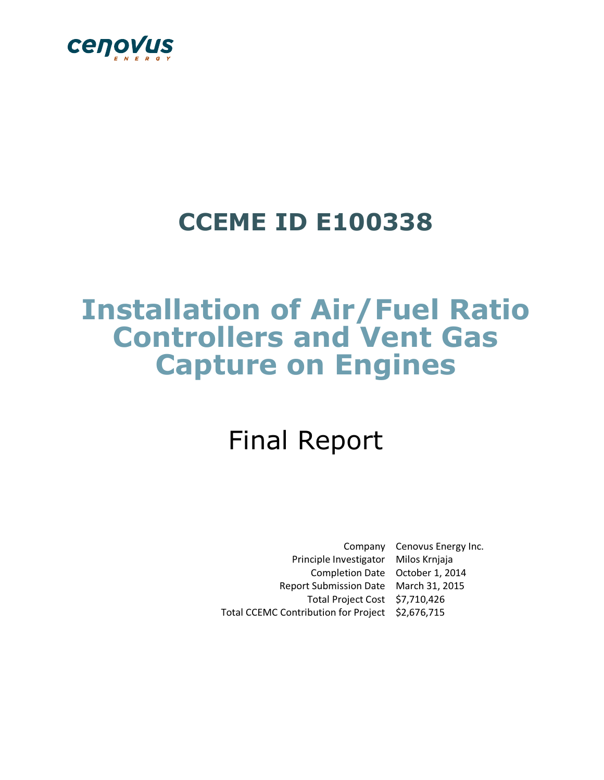

## **CCEME ID E100338**

## **Installation of Air/Fuel Ratio Controllers and Vent Gas Capture on Engines**

# Final Report

Company Cenovus Energy Inc. Principle Investigator Milos Krnjaja Completion Date October 1, 2014 Report Submission Date March 31, 2015 Total Project Cost \$7,710,426 Total CCEMC Contribution for Project \$2,676,715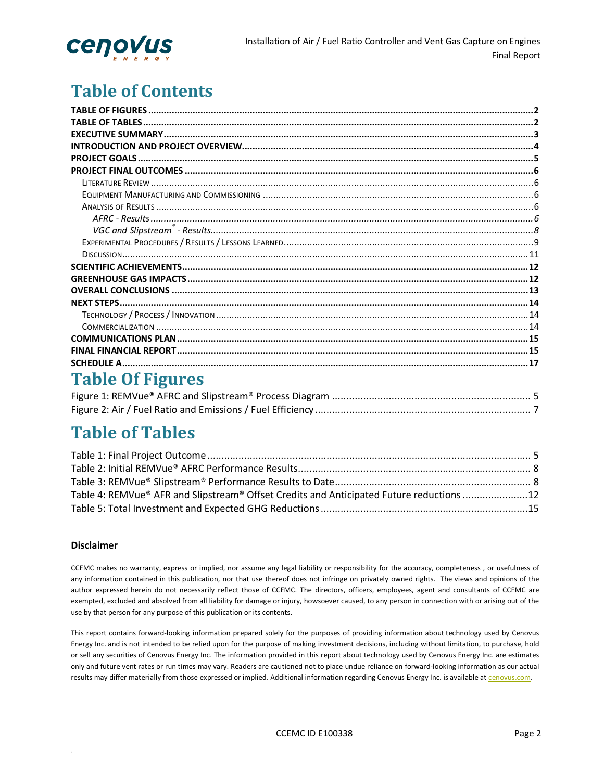

## **Table of Contents**

## **Table Of Figures**

## **Table of Tables**

| Table 4: REMVue® AFR and Slipstream® Offset Credits and Anticipated Future reductions 12 |  |
|------------------------------------------------------------------------------------------|--|
|                                                                                          |  |

#### Disclaimer

CCEMC makes no warranty, express or implied, nor assume any legal liability or responsibility for the accuracy, completeness , or usefulness of any information contained in this publication, nor that use thereof does not infringe on privately owned rights. The views and opinions of the author expressed herein do not necessarily reflect those of CCEMC. The directors, officers, employees, agent and consultants of CCEMC are exempted, excluded and absolved from all liability for damage or injury, howsoever caused, to any person in connection with or arising out of the use by that person for any purpose of this publication or its contents.

This report contains forward-looking information prepared solely for the purposes of providing information about technology used by Cenovus Energy Inc. and is not intended to be relied upon for the purpose of making investment decisions, including without limitation, to purchase, hold or sell any securities of Cenovus Energy Inc. The information provided in this report about technology used by Cenovus Energy Inc. are estimates only and future vent rates or run times may vary. Readers are cautioned not to place undue reliance on forward‐looking information as our actual results may differ materially from those expressed or implied. Additional information regarding Cenovus Energy Inc. is available at cenovus.com.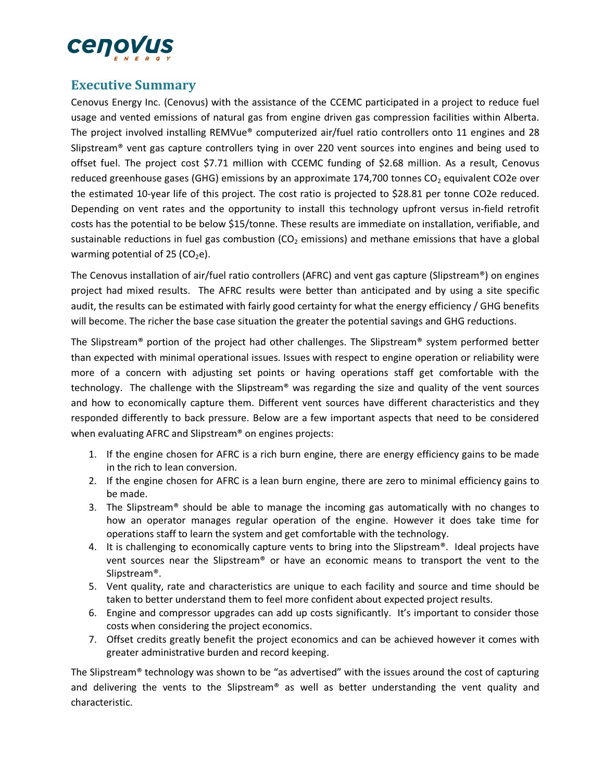

### **Executive Summary**

Cenovus Energy Inc. (Cenovus) with the assistance of the CCEMC participated in a project to reduce fuel usage and vented emissions of natural gas from engine driven gas compression facilities within Alberta. The project involved installing REMVue® computerized air/fuel ratio controllers onto 11 engines and 28 Slipstream® vent gas capture controllers tying in over 220 vent sources into engines and being used to offset fuel. The project cost \$7.71 million with CCEMC funding of \$2.68 million. As a result, Cenovus reduced greenhouse gases (GHG) emissions by an approximate 174,700 tonnes  $CO<sub>2</sub>$  equivalent CO2e over the estimated 10-year life of this project. The cost ratio is projected to \$28.81 per tonne CO2e reduced. Depending on vent rates and the opportunity to install this technology upfront versus in‐field retrofit costs has the potential to be below \$15/tonne. These results are immediate on installation, verifiable, and sustainable reductions in fuel gas combustion ( $CO<sub>2</sub>$  emissions) and methane emissions that have a global warming potential of 25 ( $CO<sub>2</sub>e$ ).

The Cenovus installation of air/fuel ratio controllers (AFRC) and vent gas capture (Slipstream®) on engines project had mixed results. The AFRC results were better than anticipated and by using a site specific audit, the results can be estimated with fairly good certainty for what the energy efficiency / GHG benefits will become. The richer the base case situation the greater the potential savings and GHG reductions.

The Slipstream® portion of the project had other challenges. The Slipstream® system performed better than expected with minimal operational issues. Issues with respect to engine operation or reliability were more of a concern with adjusting set points or having operations staff get comfortable with the technology. The challenge with the Slipstream® was regarding the size and quality of the vent sources and how to economically capture them. Different vent sources have different characteristics and they responded differently to back pressure. Below are a few important aspects that need to be considered when evaluating AFRC and Slipstream® on engines projects:

- 1. If the engine chosen for AFRC is a rich burn engine, there are energy efficiency gains to be made in the rich to lean conversion.
- 2. If the engine chosen for AFRC is a lean burn engine, there are zero to minimal efficiency gains to be made.
- 3. The Slipstream® should be able to manage the incoming gas automatically with no changes to how an operator manages regular operation of the engine. However it does take time for operations staff to learn the system and get comfortable with the technology.
- 4. It is challenging to economically capture vents to bring into the Slipstream®. Ideal projects have vent sources near the Slipstream® or have an economic means to transport the vent to the Slipstream®.
- 5. Vent quality, rate and characteristics are unique to each facility and source and time should be taken to better understand them to feel more confident about expected project results.
- 6. Engine and compressor upgrades can add up costs significantly. It's important to consider those costs when considering the project economics.
- 7. Offset credits greatly benefit the project economics and can be achieved however it comes with greater administrative burden and record keeping.

The Slipstream® technology was shown to be "as advertised" with the issues around the cost of capturing and delivering the vents to the Slipstream® as well as better understanding the vent quality and characteristic.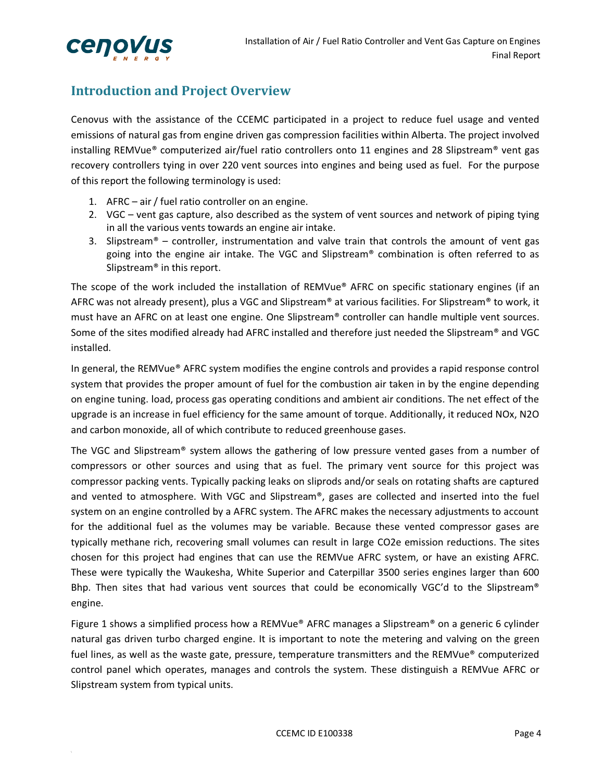

## **Introduction and Project Overview**

Cenovus with the assistance of the CCEMC participated in a project to reduce fuel usage and vented emissions of natural gas from engine driven gas compression facilities within Alberta. The project involved installing REMVue® computerized air/fuel ratio controllers onto 11 engines and 28 Slipstream® vent gas recovery controllers tying in over 220 vent sources into engines and being used as fuel. For the purpose of this report the following terminology is used:

- 1. AFRC air / fuel ratio controller on an engine.
- 2. VGC vent gas capture, also described as the system of vent sources and network of piping tying in all the various vents towards an engine air intake.
- 3. Slipstream<sup>®</sup> controller, instrumentation and valve train that controls the amount of vent gas going into the engine air intake. The VGC and Slipstream® combination is often referred to as Slipstream® in this report.

The scope of the work included the installation of REMVue® AFRC on specific stationary engines (if an AFRC was not already present), plus a VGC and Slipstream® at various facilities. For Slipstream® to work, it must have an AFRC on at least one engine. One Slipstream® controller can handle multiple vent sources. Some of the sites modified already had AFRC installed and therefore just needed the Slipstream® and VGC installed.

In general, the REMVue® AFRC system modifies the engine controls and provides a rapid response control system that provides the proper amount of fuel for the combustion air taken in by the engine depending on engine tuning. load, process gas operating conditions and ambient air conditions. The net effect of the upgrade is an increase in fuel efficiency for the same amount of torque. Additionally, it reduced NOx, N2O and carbon monoxide, all of which contribute to reduced greenhouse gases.

The VGC and Slipstream® system allows the gathering of low pressure vented gases from a number of compressors or other sources and using that as fuel. The primary vent source for this project was compressor packing vents. Typically packing leaks on sliprods and/or seals on rotating shafts are captured and vented to atmosphere. With VGC and Slipstream®, gases are collected and inserted into the fuel system on an engine controlled by a AFRC system. The AFRC makes the necessary adjustments to account for the additional fuel as the volumes may be variable. Because these vented compressor gases are typically methane rich, recovering small volumes can result in large CO2e emission reductions. The sites chosen for this project had engines that can use the REMVue AFRC system, or have an existing AFRC. These were typically the Waukesha, White Superior and Caterpillar 3500 series engines larger than 600 Bhp. Then sites that had various vent sources that could be economically VGC'd to the Slipstream® engine.

Figure 1 shows a simplified process how a REMVue® AFRC manages a Slipstream® on a generic 6 cylinder natural gas driven turbo charged engine. It is important to note the metering and valving on the green fuel lines, as well as the waste gate, pressure, temperature transmitters and the REMVue® computerized control panel which operates, manages and controls the system. These distinguish a REMVue AFRC or Slipstream system from typical units.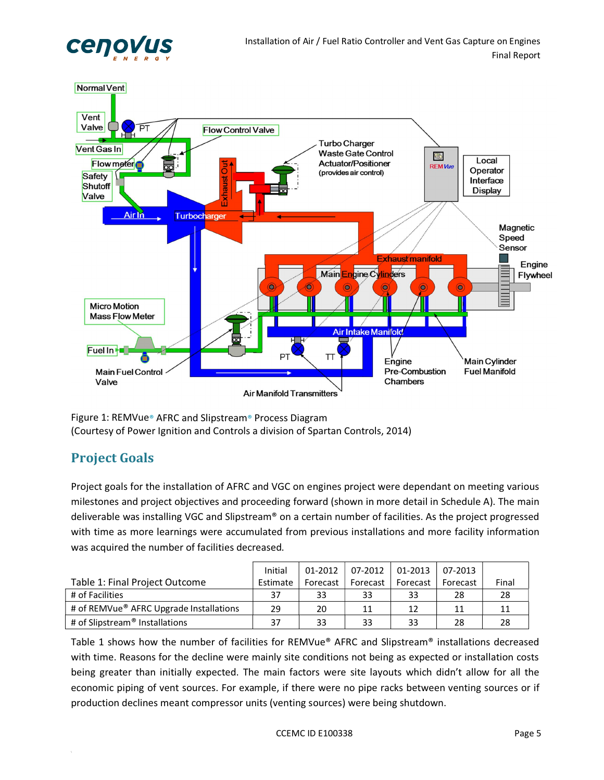



Figure 1: REMVue**®** AFRC and Slipstream**®** Process Diagram (Courtesy of Power Ignition and Controls a division of Spartan Controls, 2014)

## **Project Goals**

Project goals for the installation of AFRC and VGC on engines project were dependant on meeting various milestones and project objectives and proceeding forward (shown in more detail in Schedule A). The main deliverable was installing VGC and Slipstream® on a certain number of facilities. As the project progressed with time as more learnings were accumulated from previous installations and more facility information was acquired the number of facilities decreased.

|                                            | Initial  | 01-2012  | 07-2012  | 01-2013  | 07-2013  |       |
|--------------------------------------------|----------|----------|----------|----------|----------|-------|
| Table 1: Final Project Outcome             | Estimate | Forecast | Forecast | Forecast | Forecast | Final |
| # of Facilities                            | 37       | 33       | 33       | 33       | 28       | 28    |
| # of REMVue® AFRC Upgrade Installations    | 29       | 20       | 11       | 12       | 11       |       |
| # of Slipstream <sup>®</sup> Installations | 37       | 33       | 33       | 33       | 28       | 28    |

Table 1 shows how the number of facilities for REMVue® AFRC and Slipstream® installations decreased with time. Reasons for the decline were mainly site conditions not being as expected or installation costs being greater than initially expected. The main factors were site layouts which didn't allow for all the economic piping of vent sources. For example, if there were no pipe racks between venting sources or if production declines meant compressor units (venting sources) were being shutdown.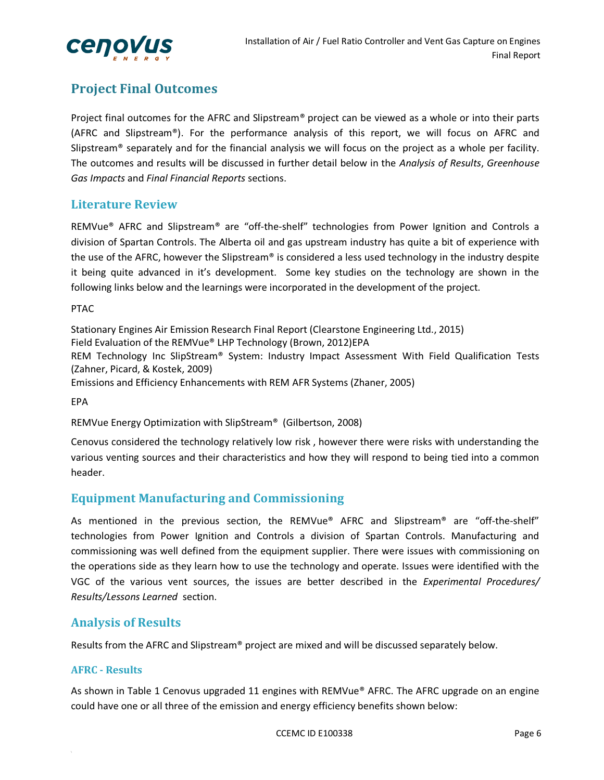

## **Project Final Outcomes**

Project final outcomes for the AFRC and Slipstream® project can be viewed as a whole or into their parts (AFRC and Slipstream®). For the performance analysis of this report, we will focus on AFRC and Slipstream<sup>®</sup> separately and for the financial analysis we will focus on the project as a whole per facility. The outcomes and results will be discussed in further detail below in the *Analysis of Results*, *Greenhouse Gas Impacts* and *Final Financial Reports* sections.

#### **Literature Review**

REMVue® AFRC and Slipstream® are "off-the-shelf" technologies from Power Ignition and Controls a division of Spartan Controls. The Alberta oil and gas upstream industry has quite a bit of experience with the use of the AFRC, however the Slipstream® is considered a less used technology in the industry despite it being quite advanced in it's development. Some key studies on the technology are shown in the following links below and the learnings were incorporated in the development of the project.

#### PTAC

Stationary Engines Air Emission Research Final Report (Clearstone Engineering Ltd., 2015) Field Evaluation of the REMVue® LHP Technology (Brown, 2012)EPA REM Technology Inc SlipStream® System: Industry Impact Assessment With Field Qualification Tests (Zahner, Picard, & Kostek, 2009) Emissions and Efficiency Enhancements with REM AFR Systems (Zhaner, 2005)

EPA

REMVue Energy Optimization with SlipStream® (Gilbertson, 2008)

Cenovus considered the technology relatively low risk , however there were risks with understanding the various venting sources and their characteristics and how they will respond to being tied into a common header.

#### **Equipment Manufacturing and Commissioning**

As mentioned in the previous section, the REMVue® AFRC and Slipstream® are "off-the-shelf" technologies from Power Ignition and Controls a division of Spartan Controls. Manufacturing and commissioning was well defined from the equipment supplier. There were issues with commissioning on the operations side as they learn how to use the technology and operate. Issues were identified with the VGC of the various vent sources, the issues are better described in the *Experimental Procedures/ Results/Lessons Learned* section.

#### **Analysis of Results**

Results from the AFRC and Slipstream® project are mixed and will be discussed separately below.

#### **AFRC** - Results

As shown in Table 1 Cenovus upgraded 11 engines with REMVue® AFRC. The AFRC upgrade on an engine could have one or all three of the emission and energy efficiency benefits shown below: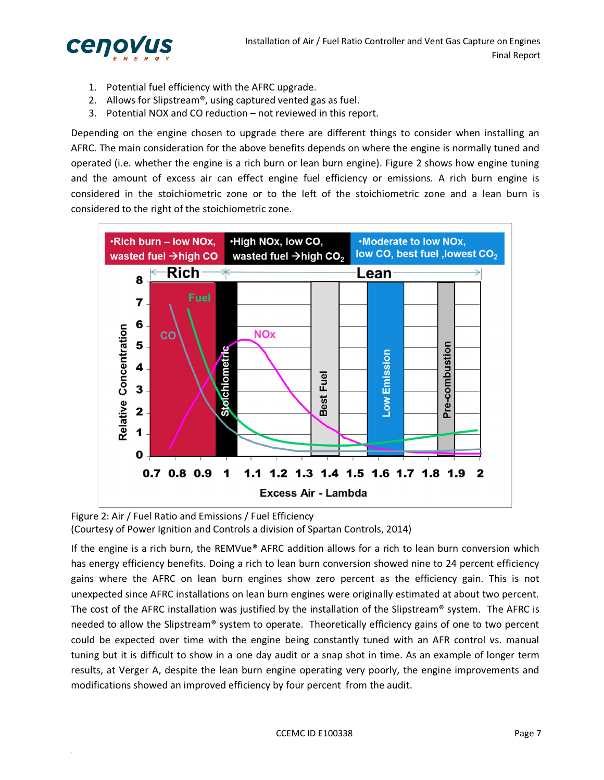

- 1. Potential fuel efficiency with the AFRC upgrade.
- 2. Allows for Slipstream®, using captured vented gas as fuel.
- 3. Potential NOX and CO reduction not reviewed in this report.

Depending on the engine chosen to upgrade there are different things to consider when installing an AFRC. The main consideration for the above benefits depends on where the engine is normally tuned and operated (i.e. whether the engine is a rich burn or lean burn engine). Figure 2 shows how engine tuning and the amount of excess air can effect engine fuel efficiency or emissions. A rich burn engine is considered in the stoichiometric zone or to the left of the stoichiometric zone and a lean burn is considered to the right of the stoichiometric zone.



Figure 2: Air / Fuel Ratio and Emissions / Fuel Efficiency (Courtesy of Power Ignition and Controls a division of Spartan Controls, 2014)

If the engine is a rich burn, the REMVue® AFRC addition allows for a rich to lean burn conversion which has energy efficiency benefits. Doing a rich to lean burn conversion showed nine to 24 percent efficiency gains where the AFRC on lean burn engines show zero percent as the efficiency gain. This is not unexpected since AFRC installations on lean burn engines were originally estimated at about two percent. The cost of the AFRC installation was justified by the installation of the Slipstream® system. The AFRC is needed to allow the Slipstream® system to operate. Theoretically efficiency gains of one to two percent could be expected over time with the engine being constantly tuned with an AFR control vs. manual tuning but it is difficult to show in a one day audit or a snap shot in time. As an example of longer term results, at Verger A, despite the lean burn engine operating very poorly, the engine improvements and modifications showed an improved efficiency by four percent from the audit.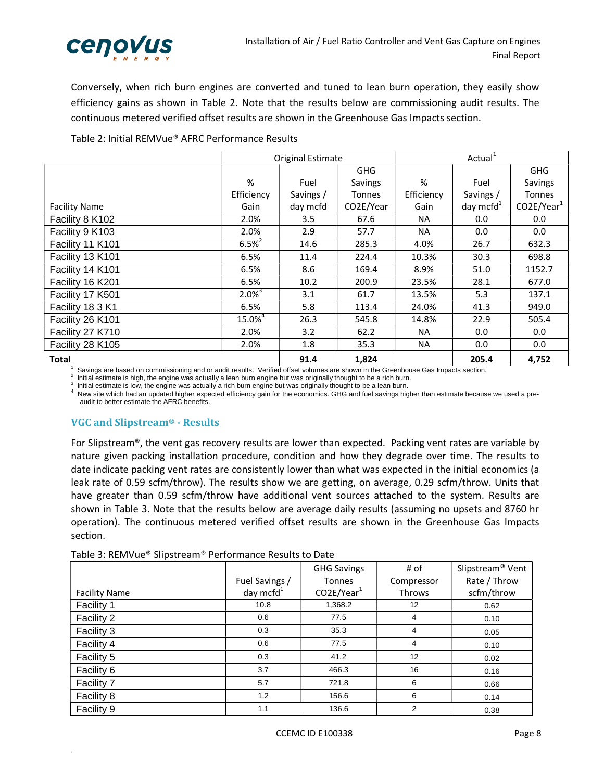

Conversely, when rich burn engines are converted and tuned to lean burn operation, they easily show efficiency gains as shown in Table 2. Note that the results below are commissioning audit results. The continuous metered verified offset results are shown in the Greenhouse Gas Impacts section.

Table 2: Initial REMVue® AFRC Performance Results

|                      | Original Estimate     |           |               |            | Actual <sup>1</sup> |               |
|----------------------|-----------------------|-----------|---------------|------------|---------------------|---------------|
|                      |                       |           | <b>GHG</b>    |            |                     | <b>GHG</b>    |
|                      | %                     | Fuel      | Savings       | %          | Fuel                | Savings       |
|                      | Efficiency            | Savings / | <b>Tonnes</b> | Efficiency | Savings /           | <b>Tonnes</b> |
| <b>Facility Name</b> | Gain                  | day mcfd  | CO2E/Year     | Gain       | day mcfd $1$        | $CO2E/Year^1$ |
| Facility 8 K102      | 2.0%                  | 3.5       | 67.6          | <b>NA</b>  | 0.0                 | 0.0           |
| Facility 9 K103      | 2.0%                  | 2.9       | 57.7          | NA.        | 0.0                 | 0.0           |
| Facility 11 K101     | $6.5\%$ <sup>2</sup>  | 14.6      | 285.3         | 4.0%       | 26.7                | 632.3         |
| Facility 13 K101     | 6.5%                  | 11.4      | 224.4         | 10.3%      | 30.3                | 698.8         |
| Facility 14 K101     | 6.5%                  | 8.6       | 169.4         | 8.9%       | 51.0                | 1152.7        |
| Facility 16 K201     | 6.5%                  | 10.2      | 200.9         | 23.5%      | 28.1                | 677.0         |
| Facility 17 K501     | $2.0\%$ <sup>3</sup>  | 3.1       | 61.7          | 13.5%      | 5.3                 | 137.1         |
| Facility 18 3 K1     | 6.5%                  | 5.8       | 113.4         | 24.0%      | 41.3                | 949.0         |
| Facility 26 K101     | $15.0\%$ <sup>4</sup> | 26.3      | 545.8         | 14.8%      | 22.9                | 505.4         |
| Facility 27 K710     | 2.0%                  | 3.2       | 62.2          | NA.        | 0.0                 | 0.0           |
| Facility 28 K105     | 2.0%                  | 1.8       | 35.3          | <b>NA</b>  | 0.0                 | 0.0           |
| <b>Total</b>         |                       | 91.4      | 1,824         |            | 205.4               | 4,752         |

1  $\frac{1}{2}$  Savings are based on commissioning and or audit results. Verified offset volumes are shown in the Greenhouse Gas Impacts section.<br>2. Isitial ortimate is bigh, the angine was actually a loop by a parine by two or

<sup>2</sup> Initial estimate is high, the engine was actually a lean burn engine but was originally thought to be a rich burn.<br><sup>3</sup> Initial estimate is low, the engine was actually a rich burn engine but was originally thought to b

New site which had an updated higher expected efficiency gain for the economics. GHG and fuel savings higher than estimate because we used a preaudit to better estimate the AFRC benefits.

#### **VGC** and Slipstream® - Results

For Slipstream®, the vent gas recovery results are lower than expected. Packing vent rates are variable by nature given packing installation procedure, condition and how they degrade over time. The results to date indicate packing vent rates are consistently lower than what was expected in the initial economics (a leak rate of 0.59 scfm/throw). The results show we are getting, on average, 0.29 scfm/throw. Units that have greater than 0.59 scfm/throw have additional vent sources attached to the system. Results are shown in Table 3. Note that the results below are average daily results (assuming no upsets and 8760 hr operation). The continuous metered verified offset results are shown in the Greenhouse Gas Impacts section.

| Table 3: REMVue® Slipstream® Performance Results to Date |  |  |  |
|----------------------------------------------------------|--|--|--|
|----------------------------------------------------------|--|--|--|

|                      |                | <b>GHG Savings</b> | # of            | Slipstream <sup>®</sup> Vent |
|----------------------|----------------|--------------------|-----------------|------------------------------|
|                      | Fuel Savings / | <b>Tonnes</b>      | Compressor      | Rate / Throw                 |
| <b>Facility Name</b> | day mcfd $1$   | $CO2E/Year^1$      | Throws          | scfm/throw                   |
| Facility 1           | 10.8           | 1,368.2            | 12 <sup>2</sup> | 0.62                         |
| Facility 2           | 0.6            | 77.5               | 4               | 0.10                         |
| Facility 3           | 0.3            | 35.3               | 4               | 0.05                         |
| Facility 4           | 0.6            | 77.5               | 4               | 0.10                         |
| Facility 5           | 0.3            | 41.2               | 12              | 0.02                         |
| Facility 6           | 3.7            | 466.3              | 16              | 0.16                         |
| Facility 7           | 5.7            | 721.8              | 6               | 0.66                         |
| Facility 8           | 1.2            | 156.6              | 6               | 0.14                         |
| Facility 9           | 1.1            | 136.6              | $\overline{2}$  | 0.38                         |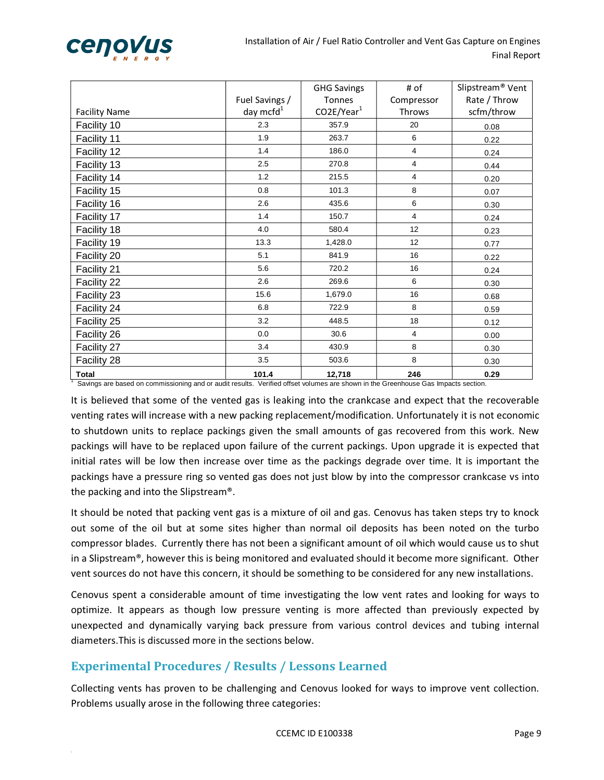

|                                                                                                                                                   |                                | <b>GHG Savings</b>             | # of                        | Slipstream <sup>®</sup> Vent |
|---------------------------------------------------------------------------------------------------------------------------------------------------|--------------------------------|--------------------------------|-----------------------------|------------------------------|
| <b>Facility Name</b>                                                                                                                              | Fuel Savings /<br>day mcfd $1$ | <b>Tonnes</b><br>$CO2E/Year^1$ | Compressor<br><b>Throws</b> | Rate / Throw<br>scfm/throw   |
| Facility 10                                                                                                                                       | 2.3                            | 357.9                          | 20                          | 0.08                         |
| Facility 11                                                                                                                                       | 1.9                            | 263.7                          | 6                           | 0.22                         |
| Facility 12                                                                                                                                       | 1.4                            | 186.0                          | 4                           | 0.24                         |
| Facility 13                                                                                                                                       | 2.5                            | 270.8                          | 4                           | 0.44                         |
| Facility 14                                                                                                                                       | 1.2                            | 215.5                          | 4                           | 0.20                         |
| Facility 15                                                                                                                                       | 0.8                            | 101.3                          | 8                           | 0.07                         |
| Facility 16                                                                                                                                       | 2.6                            | 435.6                          | 6                           | 0.30                         |
| Facility 17                                                                                                                                       | 1.4                            | 150.7                          | $\overline{4}$              | 0.24                         |
| Facility 18                                                                                                                                       | 4.0                            | 580.4                          | 12                          | 0.23                         |
| Facility 19                                                                                                                                       | 13.3                           | 1,428.0                        | 12                          | 0.77                         |
| Facility 20                                                                                                                                       | 5.1                            | 841.9                          | 16                          | 0.22                         |
| Facility 21                                                                                                                                       | 5.6                            | 720.2                          | 16                          | 0.24                         |
| Facility 22                                                                                                                                       | 2.6                            | 269.6                          | 6                           | 0.30                         |
| Facility 23                                                                                                                                       | 15.6                           | 1,679.0                        | 16                          | 0.68                         |
| Facility 24                                                                                                                                       | 6.8                            | 722.9                          | 8                           | 0.59                         |
| Facility 25                                                                                                                                       | 3.2                            | 448.5                          | 18                          | 0.12                         |
| Facility 26                                                                                                                                       | 0.0                            | 30.6                           | 4                           | 0.00                         |
| Facility 27                                                                                                                                       | 3.4                            | 430.9                          | 8                           | 0.30                         |
| Facility 28                                                                                                                                       | 3.5                            | 503.6                          | 8                           | 0.30                         |
| <b>Total</b><br>Savings are based on commissioning and or audit results. Verified offset volumes are shown in the Greenhouse Gas Impacts section. | 101.4                          | 12,718                         | 246                         | 0.29                         |

It is believed that some of the vented gas is leaking into the crankcase and expect that the recoverable venting rates will increase with a new packing replacement/modification. Unfortunately it is not economic to shutdown units to replace packings given the small amounts of gas recovered from this work. New packings will have to be replaced upon failure of the current packings. Upon upgrade it is expected that initial rates will be low then increase over time as the packings degrade over time. It is important the packings have a pressure ring so vented gas does not just blow by into the compressor crankcase vs into the packing and into the Slipstream®.

It should be noted that packing vent gas is a mixture of oil and gas. Cenovus has taken steps try to knock out some of the oil but at some sites higher than normal oil deposits has been noted on the turbo compressor blades. Currently there has not been a significant amount of oil which would cause us to shut in a Slipstream®, however this is being monitored and evaluated should it become more significant. Other vent sources do not have this concern, it should be something to be considered for any new installations.

Cenovus spent a considerable amount of time investigating the low vent rates and looking for ways to optimize. It appears as though low pressure venting is more affected than previously expected by unexpected and dynamically varying back pressure from various control devices and tubing internal diameters.This is discussed more in the sections below.

#### **Experimental Procedures / Results / Lessons Learned**

Collecting vents has proven to be challenging and Cenovus looked for ways to improve vent collection. Problems usually arose in the following three categories: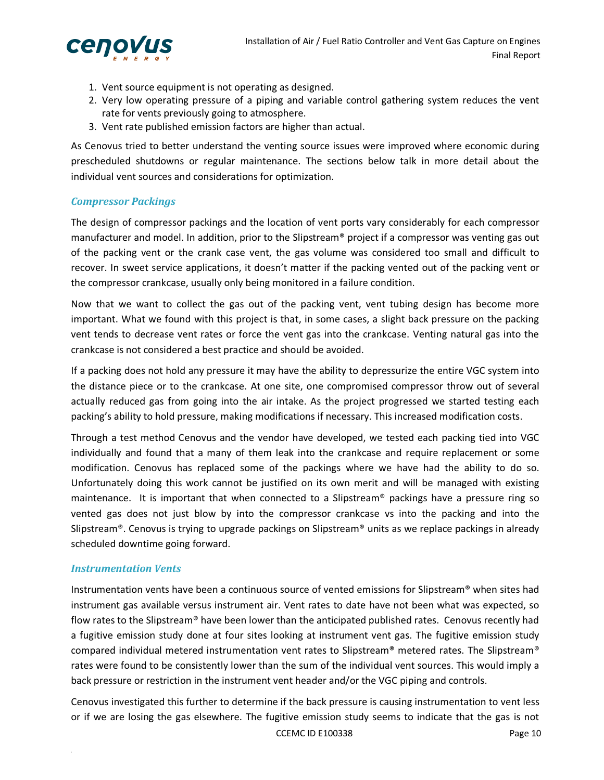

- 1. Vent source equipment is not operating as designed.
- 2. Very low operating pressure of a piping and variable control gathering system reduces the vent rate for vents previously going to atmosphere.
- 3. Vent rate published emission factors are higher than actual.

As Cenovus tried to better understand the venting source issues were improved where economic during prescheduled shutdowns or regular maintenance. The sections below talk in more detail about the individual vent sources and considerations for optimization.

#### *Compressor Packings*

The design of compressor packings and the location of vent ports vary considerably for each compressor manufacturer and model. In addition, prior to the Slipstream® project if a compressor was venting gas out of the packing vent or the crank case vent, the gas volume was considered too small and difficult to recover. In sweet service applications, it doesn't matter if the packing vented out of the packing vent or the compressor crankcase, usually only being monitored in a failure condition.

Now that we want to collect the gas out of the packing vent, vent tubing design has become more important. What we found with this project is that, in some cases, a slight back pressure on the packing vent tends to decrease vent rates or force the vent gas into the crankcase. Venting natural gas into the crankcase is not considered a best practice and should be avoided.

If a packing does not hold any pressure it may have the ability to depressurize the entire VGC system into the distance piece or to the crankcase. At one site, one compromised compressor throw out of several actually reduced gas from going into the air intake. As the project progressed we started testing each packing's ability to hold pressure, making modifications if necessary. This increased modification costs.

Through a test method Cenovus and the vendor have developed, we tested each packing tied into VGC individually and found that a many of them leak into the crankcase and require replacement or some modification. Cenovus has replaced some of the packings where we have had the ability to do so. Unfortunately doing this work cannot be justified on its own merit and will be managed with existing maintenance. It is important that when connected to a Slipstream® packings have a pressure ring so vented gas does not just blow by into the compressor crankcase vs into the packing and into the Slipstream®. Cenovus is trying to upgrade packings on Slipstream® units as we replace packings in already scheduled downtime going forward.

#### *Instrumentation Vents*

Instrumentation vents have been a continuous source of vented emissions for Slipstream® when sites had instrument gas available versus instrument air. Vent rates to date have not been what was expected, so flow rates to the Slipstream® have been lower than the anticipated published rates. Cenovus recently had a fugitive emission study done at four sites looking at instrument vent gas. The fugitive emission study compared individual metered instrumentation vent rates to Slipstream® metered rates. The Slipstream® rates were found to be consistently lower than the sum of the individual vent sources. This would imply a back pressure or restriction in the instrument vent header and/or the VGC piping and controls.

CCEMC ID E100338 Page 10 Cenovus investigated this further to determine if the back pressure is causing instrumentation to vent less or if we are losing the gas elsewhere. The fugitive emission study seems to indicate that the gas is not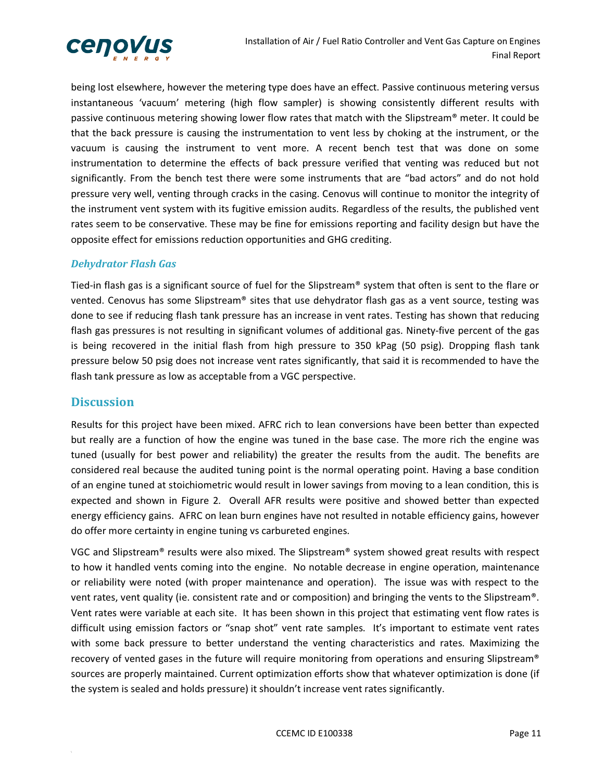

being lost elsewhere, however the metering type does have an effect. Passive continuous metering versus instantaneous 'vacuum' metering (high flow sampler) is showing consistently different results with passive continuous metering showing lower flow rates that match with the Slipstream® meter. It could be that the back pressure is causing the instrumentation to vent less by choking at the instrument, or the vacuum is causing the instrument to vent more. A recent bench test that was done on some instrumentation to determine the effects of back pressure verified that venting was reduced but not significantly. From the bench test there were some instruments that are "bad actors" and do not hold pressure very well, venting through cracks in the casing. Cenovus will continue to monitor the integrity of the instrument vent system with its fugitive emission audits. Regardless of the results, the published vent rates seem to be conservative. These may be fine for emissions reporting and facility design but have the opposite effect for emissions reduction opportunities and GHG crediting.

#### *Dehydrator Flash Gas*

Tied-in flash gas is a significant source of fuel for the Slipstream<sup>®</sup> system that often is sent to the flare or vented. Cenovus has some Slipstream® sites that use dehydrator flash gas as a vent source, testing was done to see if reducing flash tank pressure has an increase in vent rates. Testing has shown that reducing flash gas pressures is not resulting in significant volumes of additional gas. Ninety‐five percent of the gas is being recovered in the initial flash from high pressure to 350 kPag (50 psig). Dropping flash tank pressure below 50 psig does not increase vent rates significantly, that said it is recommended to have the flash tank pressure as low as acceptable from a VGC perspective.

#### **Discussion**

Results for this project have been mixed. AFRC rich to lean conversions have been better than expected but really are a function of how the engine was tuned in the base case. The more rich the engine was tuned (usually for best power and reliability) the greater the results from the audit. The benefits are considered real because the audited tuning point is the normal operating point. Having a base condition of an engine tuned at stoichiometric would result in lower savings from moving to a lean condition, this is expected and shown in Figure 2. Overall AFR results were positive and showed better than expected energy efficiency gains. AFRC on lean burn engines have not resulted in notable efficiency gains, however do offer more certainty in engine tuning vs carbureted engines.

VGC and Slipstream® results were also mixed. The Slipstream® system showed great results with respect to how it handled vents coming into the engine. No notable decrease in engine operation, maintenance or reliability were noted (with proper maintenance and operation). The issue was with respect to the vent rates, vent quality (ie. consistent rate and or composition) and bringing the vents to the Slipstream®. Vent rates were variable at each site. It has been shown in this project that estimating vent flow rates is difficult using emission factors or "snap shot" vent rate samples. It's important to estimate vent rates with some back pressure to better understand the venting characteristics and rates. Maximizing the recovery of vented gases in the future will require monitoring from operations and ensuring Slipstream® sources are properly maintained. Current optimization efforts show that whatever optimization is done (if the system is sealed and holds pressure) it shouldn't increase vent rates significantly.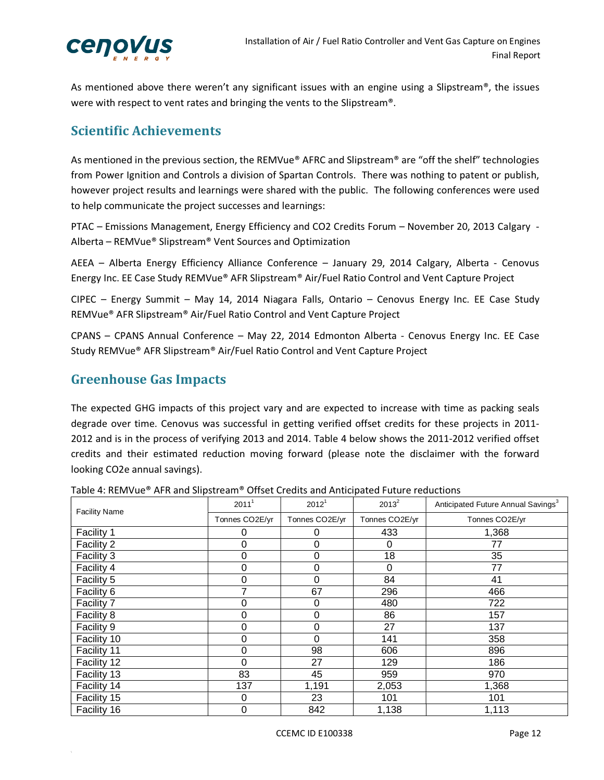

As mentioned above there weren't any significant issues with an engine using a Slipstream®, the issues were with respect to vent rates and bringing the vents to the Slipstream®.

## **Scientific Achievements**

As mentioned in the previous section, the REMVue® AFRC and Slipstream® are "off the shelf" technologies from Power Ignition and Controls a division of Spartan Controls. There was nothing to patent or publish, however project results and learnings were shared with the public. The following conferences were used to help communicate the project successes and learnings:

PTAC – Emissions Management, Energy Efficiency and CO2 Credits Forum – November 20, 2013 Calgary ‐ Alberta – REMVue® Slipstream® Vent Sources and Optimization

AEEA – Alberta Energy Efficiency Alliance Conference – January 29, 2014 Calgary, Alberta ‐ Cenovus Energy Inc. EE Case Study REMVue® AFR Slipstream® Air/Fuel Ratio Control and Vent Capture Project

CIPEC – Energy Summit – May 14, 2014 Niagara Falls, Ontario – Cenovus Energy Inc. EE Case Study REMVue® AFR Slipstream® Air/Fuel Ratio Control and Vent Capture Project

CPANS – CPANS Annual Conference – May 22, 2014 Edmonton Alberta ‐ Cenovus Energy Inc. EE Case Study REMVue® AFR Slipstream® Air/Fuel Ratio Control and Vent Capture Project

## **Greenhouse Gas Impacts**

The expected GHG impacts of this project vary and are expected to increase with time as packing seals degrade over time. Cenovus was successful in getting verified offset credits for these projects in 2011‐ 2012 and is in the process of verifying 2013 and 2014. Table 4 below shows the 2011‐2012 verified offset credits and their estimated reduction moving forward (please note the disclaimer with the forward looking CO2e annual savings).

| <b>Facility Name</b> | 2011 <sup>1</sup> | 2012 <sup>1</sup> | $2013^2$       | Anticipated Future Annual Savings <sup>3</sup> |
|----------------------|-------------------|-------------------|----------------|------------------------------------------------|
|                      | Tonnes CO2E/yr    | Tonnes CO2E/yr    | Tonnes CO2E/yr | Tonnes CO2E/yr                                 |
| Facility 1           | 0                 | O                 | 433            | 1,368                                          |
| Facility 2           | 0                 | 0                 | 0              | 77                                             |
| Facility 3           | 0                 | 0                 | 18             | 35                                             |
| Facility 4           | 0                 | 0                 | $\Omega$       | 77                                             |
| Facility 5           | 0                 | 0                 | 84             | 41                                             |
| Facility 6           | 7                 | 67                | 296            | 466                                            |
| Facility 7           | 0                 | 0                 | 480            | 722                                            |
| Facility 8           | 0                 | 0                 | 86             | 157                                            |
| Facility 9           | 0                 | 0                 | 27             | 137                                            |
| Facility 10          | 0                 | 0                 | 141            | 358                                            |
| Facility 11          | 0                 | 98                | 606            | 896                                            |
| Facility 12          | 0                 | 27                | 129            | 186                                            |
| Facility 13          | 83                | 45                | 959            | 970                                            |
| Facility 14          | 137               | 1,191             | 2,053          | 1,368                                          |
| Facility 15          | 0                 | 23                | 101            | 101                                            |
| Facility 16          | 0                 | 842               | 1,138          | 1,113                                          |

Table 4: REMVue® AFR and Slipstream® Offset Credits and Anticipated Future reductions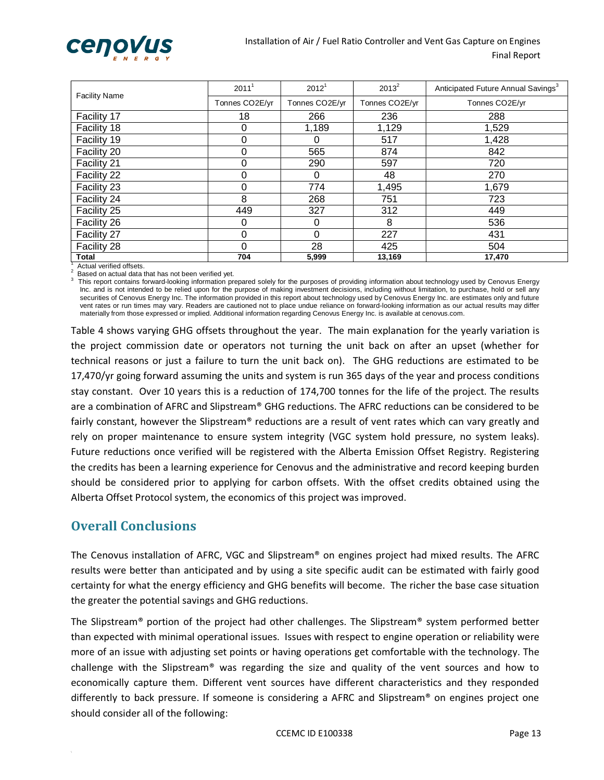

| <b>Facility Name</b> | 2011 <sup>1</sup> | 2012 <sup>1</sup> | $2013^2$       | Anticipated Future Annual Savings <sup>3</sup> |
|----------------------|-------------------|-------------------|----------------|------------------------------------------------|
|                      | Tonnes CO2E/yr    | Tonnes CO2E/yr    | Tonnes CO2E/yr | Tonnes CO2E/yr                                 |
| Facility 17          | 18                | 266               | 236            | 288                                            |
| Facility 18          | 0                 | 1,189             | 1,129          | 1,529                                          |
| Facility 19          | 0                 | 0                 | 517            | 1,428                                          |
| Facility 20          | 0                 | 565               | 874            | 842                                            |
| Facility 21          | 0                 | 290               | 597            | 720                                            |
| Facility 22          | 0                 | 0                 | 48             | 270                                            |
| Facility 23          | 0                 | 774               | 1,495          | 1,679                                          |
| Facility 24          | 8                 | 268               | 751            | 723                                            |
| Facility 25          | 449               | 327               | 312            | 449                                            |
| Facility 26          | 0                 | 0                 | 8              | 536                                            |
| Facility 27          | 0                 | 0                 | 227            | 431                                            |
| Facility 28          | 0                 | 28                | 425            | 504                                            |
| <b>Total</b>         | 704               | 5,999             | 13,169         | 17,470                                         |

1 Actual verified offsets.

Based on actual data that has not been verified vet.

 This report contains forward-looking information prepared solely for the purposes of providing information about technology used by Cenovus Energy Inc. and is not intended to be relied upon for the purpose of making investment decisions, including without limitation, to purchase, hold or sell any securities of Cenovus Energy Inc. The information provided in this report about technology used by Cenovus Energy Inc. are estimates only and future vent rates or run times may vary. Readers are cautioned not to place undue reliance on forward-looking information as our actual results may differ materially from those expressed or implied. Additional information regarding Cenovus Energy Inc. is available at cenovus.com.

Table 4 shows varying GHG offsets throughout the year. The main explanation for the yearly variation is the project commission date or operators not turning the unit back on after an upset (whether for technical reasons or just a failure to turn the unit back on). The GHG reductions are estimated to be 17,470/yr going forward assuming the units and system is run 365 days of the year and process conditions stay constant. Over 10 years this is a reduction of 174,700 tonnes for the life of the project. The results are a combination of AFRC and Slipstream® GHG reductions. The AFRC reductions can be considered to be fairly constant, however the Slipstream® reductions are a result of vent rates which can vary greatly and rely on proper maintenance to ensure system integrity (VGC system hold pressure, no system leaks). Future reductions once verified will be registered with the Alberta Emission Offset Registry. Registering the credits has been a learning experience for Cenovus and the administrative and record keeping burden should be considered prior to applying for carbon offsets. With the offset credits obtained using the Alberta Offset Protocol system, the economics of this project was improved.

#### **Overall Conclusions**

The Cenovus installation of AFRC, VGC and Slipstream® on engines project had mixed results. The AFRC results were better than anticipated and by using a site specific audit can be estimated with fairly good certainty for what the energy efficiency and GHG benefits will become. The richer the base case situation the greater the potential savings and GHG reductions.

The Slipstream® portion of the project had other challenges. The Slipstream® system performed better than expected with minimal operational issues. Issues with respect to engine operation or reliability were more of an issue with adjusting set points or having operations get comfortable with the technology. The challenge with the Slipstream® was regarding the size and quality of the vent sources and how to economically capture them. Different vent sources have different characteristics and they responded differently to back pressure. If someone is considering a AFRC and Slipstream® on engines project one should consider all of the following: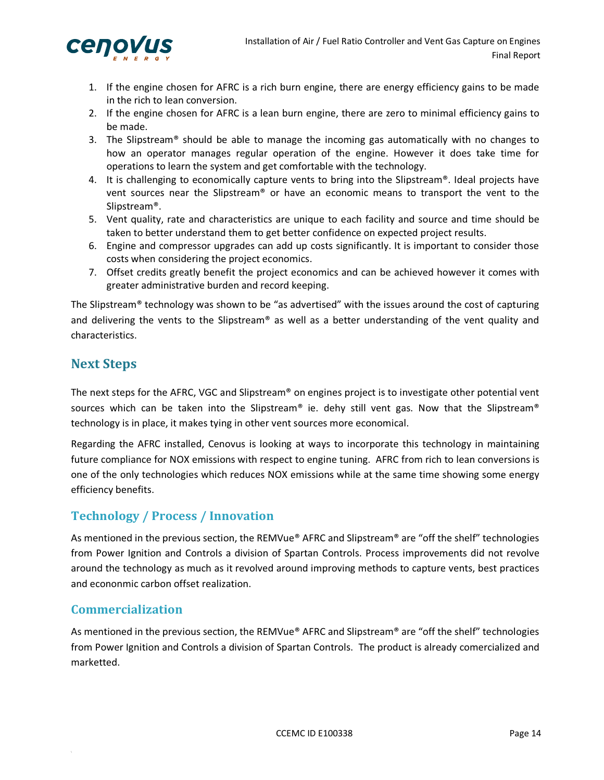

- 1. If the engine chosen for AFRC is a rich burn engine, there are energy efficiency gains to be made in the rich to lean conversion.
- 2. If the engine chosen for AFRC is a lean burn engine, there are zero to minimal efficiency gains to be made.
- 3. The Slipstream® should be able to manage the incoming gas automatically with no changes to how an operator manages regular operation of the engine. However it does take time for operations to learn the system and get comfortable with the technology.
- 4. It is challenging to economically capture vents to bring into the Slipstream®. Ideal projects have vent sources near the Slipstream® or have an economic means to transport the vent to the Slipstream®.
- 5. Vent quality, rate and characteristics are unique to each facility and source and time should be taken to better understand them to get better confidence on expected project results.
- 6. Engine and compressor upgrades can add up costs significantly. It is important to consider those costs when considering the project economics.
- 7. Offset credits greatly benefit the project economics and can be achieved however it comes with greater administrative burden and record keeping.

The Slipstream® technology was shown to be "as advertised" with the issues around the cost of capturing and delivering the vents to the Slipstream® as well as a better understanding of the vent quality and characteristics.

## **Next Steps**

The next steps for the AFRC, VGC and Slipstream® on engines project is to investigate other potential vent sources which can be taken into the Slipstream® ie. dehy still vent gas. Now that the Slipstream® technology is in place, it makes tying in other vent sources more economical.

Regarding the AFRC installed, Cenovus is looking at ways to incorporate this technology in maintaining future compliance for NOX emissions with respect to engine tuning. AFRC from rich to lean conversions is one of the only technologies which reduces NOX emissions while at the same time showing some energy efficiency benefits.

## **Technology** / **Process** / **Innovation**

As mentioned in the previous section, the REMVue® AFRC and Slipstream® are "off the shelf" technologies from Power Ignition and Controls a division of Spartan Controls. Process improvements did not revolve around the technology as much as it revolved around improving methods to capture vents, best practices and econonmic carbon offset realization.

#### **Commercialization**

As mentioned in the previous section, the REMVue® AFRC and Slipstream® are "off the shelf" technologies from Power Ignition and Controls a division of Spartan Controls. The product is already comercialized and marketted.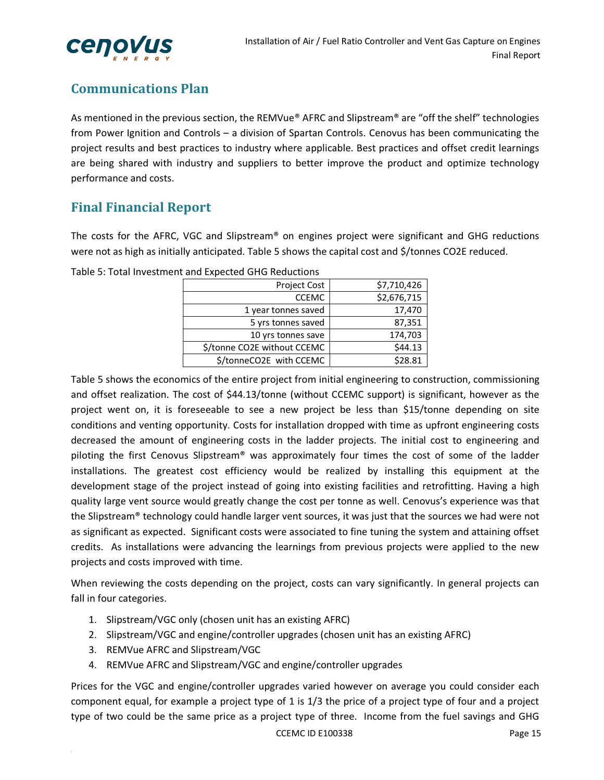

## **Communications Plan**

As mentioned in the previous section, the REMVue® AFRC and Slipstream® are "off the shelf" technologies from Power Ignition and Controls – a division of Spartan Controls. Cenovus has been communicating the project results and best practices to industry where applicable. Best practices and offset credit learnings are being shared with industry and suppliers to better improve the product and optimize technology performance and costs.

## **Final Financial Report**

The costs for the AFRC, VGC and Slipstream® on engines project were significant and GHG reductions were not as high as initially anticipated. Table 5 shows the capital cost and \$/tonnes CO2E reduced.

| Project Cost                | \$7,710,426 |
|-----------------------------|-------------|
| <b>CCEMC</b>                | \$2,676,715 |
| 1 year tonnes saved         | 17,470      |
| 5 yrs tonnes saved          | 87,351      |
| 10 yrs tonnes save          | 174,703     |
| \$/tonne CO2E without CCEMC | \$44.13     |
| \$/tonneCO2E with CCEMC     | \$28.81     |
|                             |             |

Table 5: Total Investment and Expected GHG Reductions

Table 5 shows the economics of the entire project from initial engineering to construction, commissioning and offset realization. The cost of \$44.13/tonne (without CCEMC support) is significant, however as the project went on, it is foreseeable to see a new project be less than \$15/tonne depending on site conditions and venting opportunity. Costs for installation dropped with time as upfront engineering costs decreased the amount of engineering costs in the ladder projects. The initial cost to engineering and piloting the first Cenovus Slipstream® was approximately four times the cost of some of the ladder installations. The greatest cost efficiency would be realized by installing this equipment at the development stage of the project instead of going into existing facilities and retrofitting. Having a high quality large vent source would greatly change the cost per tonne as well. Cenovus's experience was that the Slipstream® technology could handle larger vent sources, it was just that the sources we had were not as significant as expected. Significant costs were associated to fine tuning the system and attaining offset credits. As installations were advancing the learnings from previous projects were applied to the new projects and costs improved with time.

When reviewing the costs depending on the project, costs can vary significantly. In general projects can fall in four categories.

- 1. Slipstream/VGC only (chosen unit has an existing AFRC)
- 2. Slipstream/VGC and engine/controller upgrades (chosen unit has an existing AFRC)
- 3. REMVue AFRC and Slipstream/VGC
- 4. REMVue AFRC and Slipstream/VGC and engine/controller upgrades

Prices for the VGC and engine/controller upgrades varied however on average you could consider each component equal, for example a project type of 1 is 1/3 the price of a project type of four and a project type of two could be the same price as a project type of three. Income from the fuel savings and GHG

CCEMC ID E100338 Page 15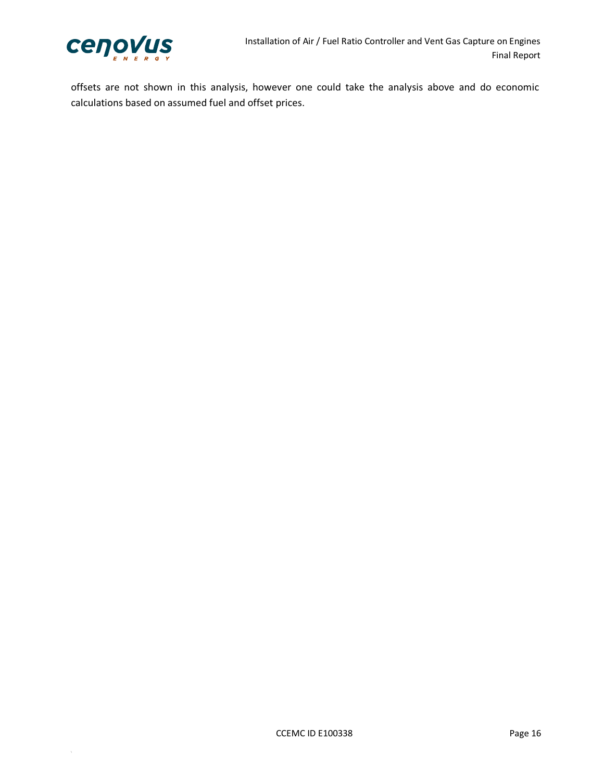

offsets are not shown in this analysis, however one could take the analysis above and do economic calculations based on assumed fuel and offset prices.